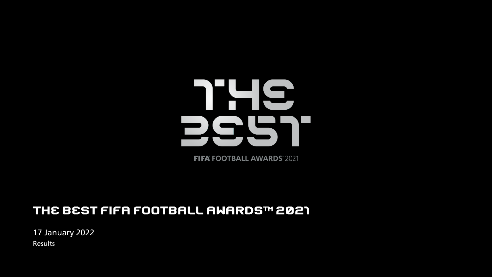

**FIFA FOOTBALL AWARDS 2021** 

### THE BEST FIFA FOOTBALL AWARDS™ 2021

17 January 2022 Results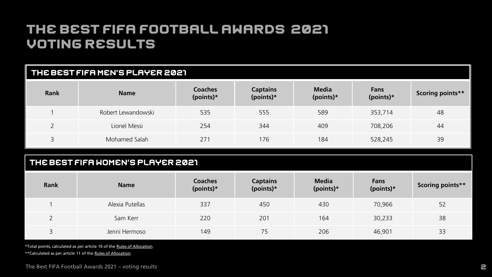| THE BEST FIFA MEN'S PLAYER 2021 |                    |                             |                              |                           |                   |                  |
|---------------------------------|--------------------|-----------------------------|------------------------------|---------------------------|-------------------|------------------|
| <b>Rank</b>                     | <b>Name</b>        | <b>Coaches</b><br>(points)* | <b>Captains</b><br>(points)* | <b>Media</b><br>(points)* | Fans<br>(points)* | Scoring points** |
|                                 | Robert Lewandowski | 535                         | 555                          | 589                       | 353,714           | 48               |
| $\overline{\phantom{0}}$        | Lionel Messi       | 254                         | 344                          | 409                       | 708,206           | 44               |
| 3                               | Mohamed Salah      | 271                         | 176                          | 184                       | 528,245           | 39               |

#### THE BEST FIFA WOMEN'S PLAYER 2021

| <b>Rank</b> | <b>Name</b>     | <b>Coaches</b><br>(points)* | <b>Captains</b><br>(points)* | <b>Media</b><br>(points)* | Fans<br>(points)* | Scoring points** |
|-------------|-----------------|-----------------------------|------------------------------|---------------------------|-------------------|------------------|
|             | Alexia Putellas | 337                         | 450                          | 430                       | 70,966            | 52               |
|             | Sam Kerr        | 220                         | 201                          | 164                       | 30,233            | 38               |
|             | Jenni Hermoso   | 149                         | 75                           | 206                       | 46,901            | 33               |

\*Total points, calculated as per article 10 of the [Rules of Allocation](https://digitalhub.fifa.com/m/62add887d2ca0a61/original/FIFA-Awards-2021_The-Best-Awards_Rules-of-allocation_EN-2.pdf). \*\*Calculated as per article 11 of the [Rules of Allocation](https://digitalhub.fifa.com/m/62add887d2ca0a61/original/FIFA-Awards-2021_The-Best-Awards_Rules-of-allocation_EN-2.pdf).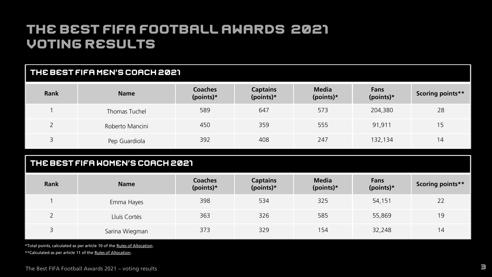| THE BEST FIFA MEN'S COACH 2021                                          |                                  |                             |                              |                           |                          |                         |
|-------------------------------------------------------------------------|----------------------------------|-----------------------------|------------------------------|---------------------------|--------------------------|-------------------------|
| <b>Rank</b>                                                             | <b>Name</b>                      | <b>Coaches</b><br>(points)* | <b>Captains</b><br>(points)* | <b>Media</b><br>(points)* | <b>Fans</b><br>(points)* | <b>Scoring points**</b> |
| $\overline{1}$                                                          | Thomas Tuchel                    | 589                         | 647                          | 573                       | 204,380                  | 28                      |
| $\overline{2}$                                                          | Roberto Mancini                  | 450                         | 359                          | 555                       | 91,911                   | 15                      |
| 3                                                                       | Pep Guardiola                    | 392                         | 408                          | 247                       | 132,134                  | 14                      |
|                                                                         | THE BEST FIFA WOMEN'S COACH 2021 |                             |                              |                           |                          |                         |
|                                                                         |                                  | Coaches                     | <b>Captains</b>              | <b>Media</b>              | <b>Fans</b>              |                         |
| <b>Rank</b>                                                             | <b>Name</b>                      | (points)*                   | (points)*                    | $(points)*$               | (points)*                | Scoring points**        |
| $\overline{1}$                                                          | Emma Hayes                       | 398                         | 534                          | 325                       | 54,151                   | 22                      |
| $\overline{2}$                                                          | Lluís Cortés                     | 363                         | 326                          | 585                       | 55,869                   | 19                      |
| $\overline{3}$                                                          | Sarina Wiegman                   | 373                         | 329                          | 154                       | 32,248                   | 14                      |
| *Total points, calculated as per article 10 of the Rules of Allocation. |                                  |                             |                              |                           |                          |                         |

\*\*Calculated as per article 11 of the [Rules of Allocation](https://digitalhub.fifa.com/m/62add887d2ca0a61/original/FIFA-Awards-2021_The-Best-Awards_Rules-of-allocation_EN-2.pdf).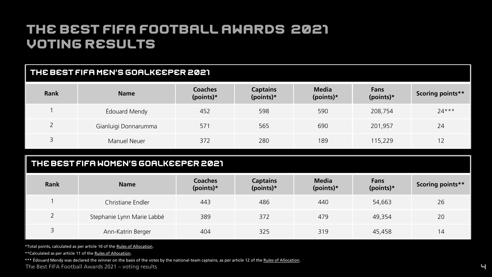### THE BEST FIFA MEN'S GOALKEEPER 2021

| <b>Rank</b> | <b>Name</b>          | Coaches<br>(points)* | <b>Captains</b><br>(points)* | <b>Media</b><br>(points)* | <b>Fans</b><br>(points)* | Scoring points** |
|-------------|----------------------|----------------------|------------------------------|---------------------------|--------------------------|------------------|
|             | Édouard Mendy        | 452                  | 598                          | 590                       | 208,754                  | $24***$          |
|             | Gianluigi Donnarumma | 571                  | 565                          | 690                       | 201,957                  | 24               |
|             | Manuel Neuer         | 372                  | 280                          | 189                       | 115,229                  | 12               |

### THE BEST FIFA WOMEN'S GOALKEEPER 2021

| <b>Rank</b> | <b>Name</b>                | Coaches<br>(points)* | <b>Captains</b><br>(points)* | <b>Media</b><br>(points)* | Fans<br>(points)* | <b>Scoring points**</b> |
|-------------|----------------------------|----------------------|------------------------------|---------------------------|-------------------|-------------------------|
|             | Christiane Endler          | 443                  | 486                          | 440                       | 54,663            | 26                      |
|             | Stephanie Lynn Marie Labbé | 389                  | 372                          | 479                       | 49.354            | 20                      |
|             | Ann-Katrin Berger          | 404                  | 325                          | 319                       | 45,458            | 14                      |

\*Total points, calculated as per article 10 of the [Rules of Allocation](https://digitalhub.fifa.com/m/62add887d2ca0a61/original/FIFA-Awards-2021_The-Best-Awards_Rules-of-allocation_EN-2.pdf).

\*\*Calculated as per article 11 of the [Rules of Allocation](https://digitalhub.fifa.com/m/62add887d2ca0a61/original/FIFA-Awards-2021_The-Best-Awards_Rules-of-allocation_EN-2.pdf).

\*\*\* Édouard Mendy was declared the winner on the basis of the votes by the national-team captains, as per article 12 of the [Rules of Allocation](https://digitalhub.fifa.com/m/62add887d2ca0a61/original/FIFA-Awards-2021_The-Best-Awards_Rules-of-allocation_EN-2.pdf).

The Best FIFA Football Awards 2021 – voting results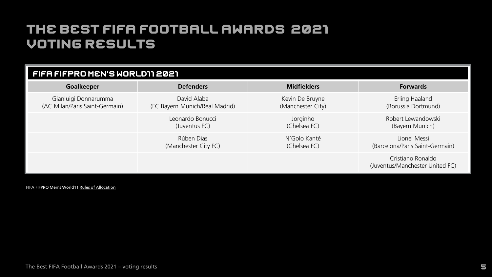| FIFA FIFPRO MEN'S WORLD11 2021 |                                |                    |                                                      |  |  |  |
|--------------------------------|--------------------------------|--------------------|------------------------------------------------------|--|--|--|
| Goalkeeper                     | <b>Defenders</b>               | <b>Midfielders</b> | <b>Forwards</b>                                      |  |  |  |
| Gianluigi Donnarumma           | David Alaba                    | Kevin De Bruyne    | Erling Haaland                                       |  |  |  |
| (AC Milan/Paris Saint-Germain) | (FC Bayern Munich/Real Madrid) | (Manchester City)  | (Borussia Dortmund)                                  |  |  |  |
|                                | Leonardo Bonucci               | Jorginho           | Robert Lewandowski                                   |  |  |  |
|                                | (Juventus FC)                  | (Chelsea FC)       | (Bayern Munich)                                      |  |  |  |
|                                | Rúben Dias                     | N'Golo Kanté       | Lionel Messi                                         |  |  |  |
|                                | (Manchester City FC)           | (Chelsea FC)       | (Barcelona/Paris Saint-Germain)                      |  |  |  |
|                                |                                |                    | Cristiano Ronaldo<br>(Juventus/Manchester United FC) |  |  |  |

FIFA FIFPRO Men's World11 [Rules of Allocation](https://digitalhub.fifa.com/m/21cab80cd30ea87b/original/FIFPRO-World11-Men-EN.pdf)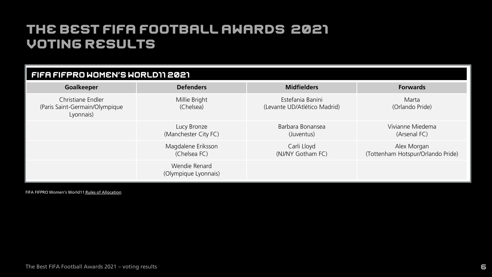| FIFA FIFPRO WOMEN'S WORLD11 2021                                 |                                       |                                                  |                                                  |  |  |  |
|------------------------------------------------------------------|---------------------------------------|--------------------------------------------------|--------------------------------------------------|--|--|--|
| Goalkeeper                                                       | <b>Defenders</b>                      | <b>Midfielders</b>                               | <b>Forwards</b>                                  |  |  |  |
| Christiane Endler<br>(Paris Saint-Germain/Olympique<br>Lyonnais) | Millie Bright<br>(Chelsea)            | Estefania Banini<br>(Levante UD/Atlético Madrid) | Marta<br>(Orlando Pride)                         |  |  |  |
|                                                                  | Lucy Bronze<br>(Manchester City FC)   | Barbara Bonansea<br>(Juventus)                   | Vivianne Miedema<br>(Arsenal FC)                 |  |  |  |
|                                                                  | Magdalene Eriksson<br>(Chelsea FC)    | Carli Lloyd<br>(NJ/NY Gotham FC)                 | Alex Morgan<br>(Tottenham Hotspur/Orlando Pride) |  |  |  |
|                                                                  | Wendie Renard<br>(Olympique Lyonnais) |                                                  |                                                  |  |  |  |

FIFA FIFPRO Women's World11 [Rules of Allocation](https://digitalhub.fifa.com/m/5178ebb393369f31/original/FIFPRO-World-11-Women-EN.pdf)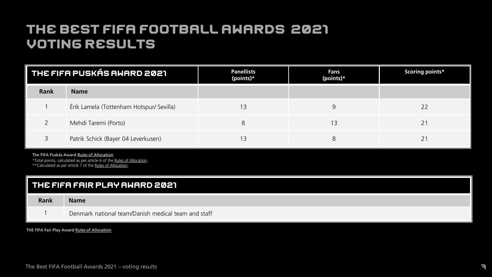| THE FIFA PUSKÁS AWARD 2021 |                                          | <b>Panellists</b><br>(points)* | Fans<br>(points)* | Scoring points* |
|----------------------------|------------------------------------------|--------------------------------|-------------------|-----------------|
| <b>Rank</b>                | <b>Name</b>                              |                                |                   |                 |
|                            | Érik Lamela (Tottenham Hotspur/ Sevilla) | 13                             | 9                 |                 |
|                            | Mehdi Taremi (Porto)                     | 8                              | 3                 |                 |
|                            | Patrik Schick (Bayer 04 Leverkusen)      | 13                             | 8                 |                 |

The FIFA Puskás Award [Rules of Allocation](https://digitalhub.fifa.com/m/7f145709a95e80f5/original/FIFA-Puskas-Award-EN.pdf)

\*Total points, calculated as per article 6 of the [Rules of Allocation](https://digitalhub.fifa.com/m/7f145709a95e80f5/original/FIFA-Puskas-Award-EN.pdf). \*\*Calculated as per article 7 of the [Rules of Allocation.](https://digitalhub.fifa.com/m/7f145709a95e80f5/original/FIFA-Puskas-Award-EN.pdf)

| THE FIFA FAIR PLAY AWARD 2021 |                                                     |  |  |  |
|-------------------------------|-----------------------------------------------------|--|--|--|
| Rank                          | <b>Name</b>                                         |  |  |  |
|                               | Denmark national team/Danish medical team and staff |  |  |  |

THE FIFA Fair Play Award [Rules of Allocation](https://digitalhub.fifa.com/m/4132a828cb9ef19/original/FIFA-Fair-Play-Award-EN.pdf)